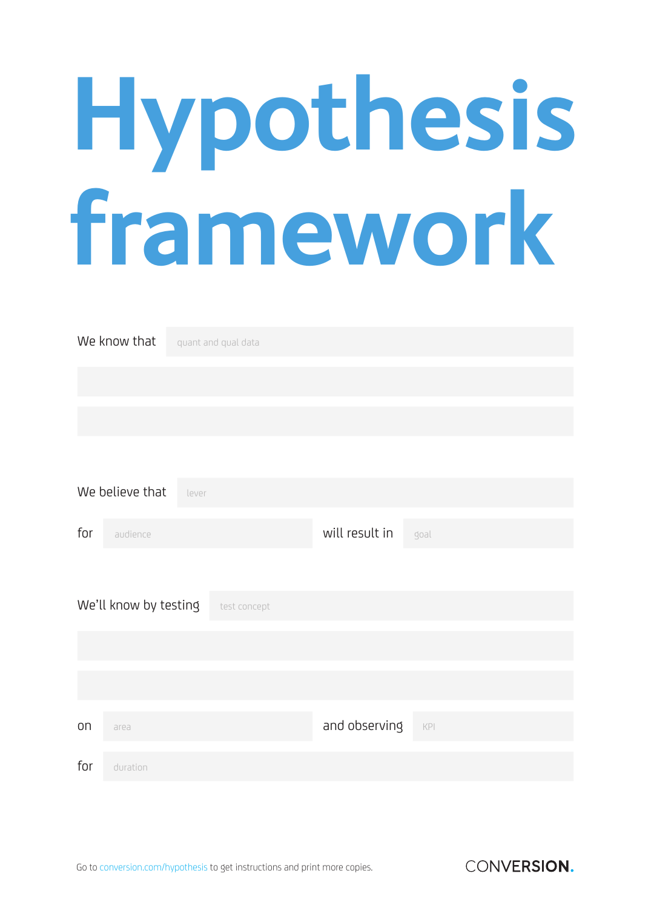# **Hypothesis framework**

|                          | We know that          |  | quant and qual data |                |                                   |  |  |  |
|--------------------------|-----------------------|--|---------------------|----------------|-----------------------------------|--|--|--|
|                          |                       |  |                     |                |                                   |  |  |  |
|                          |                       |  |                     |                |                                   |  |  |  |
|                          |                       |  |                     |                |                                   |  |  |  |
|                          |                       |  |                     |                |                                   |  |  |  |
| We believe that<br>lever |                       |  |                     |                |                                   |  |  |  |
| for                      | audience              |  |                     | will result in | goal                              |  |  |  |
|                          |                       |  |                     |                |                                   |  |  |  |
|                          | We'll know by testing |  | test concept        |                |                                   |  |  |  |
|                          |                       |  |                     |                |                                   |  |  |  |
|                          |                       |  |                     |                |                                   |  |  |  |
| on                       | area                  |  |                     | and observing  | $\ensuremath{\mathsf{KP}}\xspace$ |  |  |  |
| for                      | duration              |  |                     |                |                                   |  |  |  |

CONVERSION.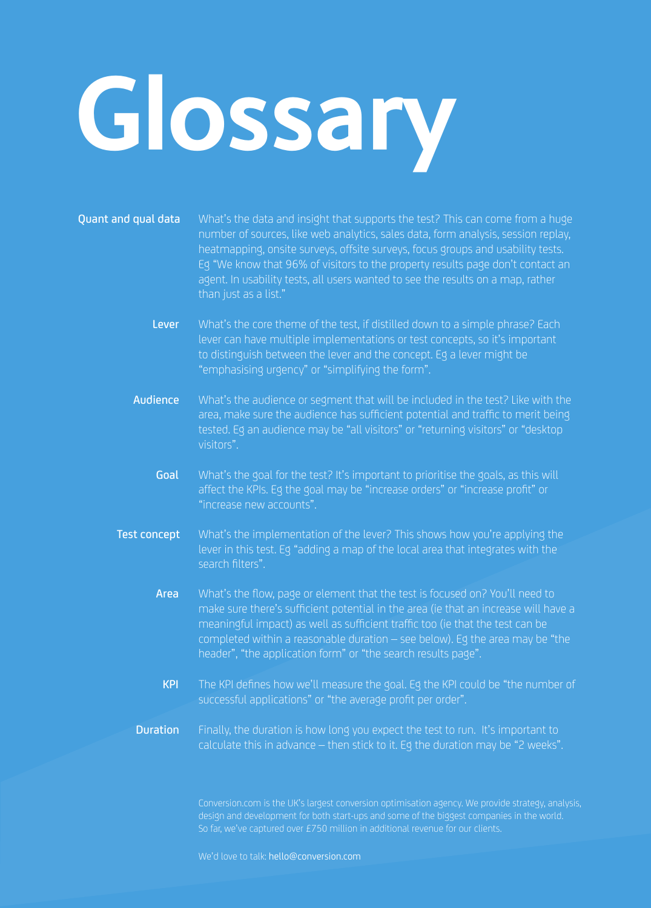## **Glossary**

#### **Quant and qual data** What's the data and insight that supports the test? This can come from a huge number of sources, like web analytics, sales data, form analysis, session replay, heatmapping, onsite surveys, offsite surveys, focus groups and usability tests. Eg "We know that 96% of visitors to the property results page don't contact an agent. In usability tests, all users wanted to see the results on a map, rather than just as a list."

- Lever What's the core theme of the test, if distilled down to a simple phrase? Each lever can have multiple implementations or test concepts, so it's important to distinguish between the lever and the concept. Eg a lever might be "emphasising urgency" or "simplifying the form".
- Audience What's the audience or segment that will be included in the test? Like with the area, make sure the audience has sufficient potential and traffic to merit being tested. Eg an audience may be "all visitors" or "returning visitors" or "desktop visitors".
	- Goal What's the goal for the test? It's important to prioritise the goals, as this will affect the KPIs. Eg the goal may be "increase orders" or "increase profit" or "increase new accounts".
- **Test concept** What's the implementation of the lever? This shows how you're applying the lever in this test. Eg "adding a map of the local area that integrates with the search filters".
	- Area What's the flow, page or element that the test is focused on? You'll need to make sure there's sufficient potential in the area (ie that an increase will have a meaningful impact) as well as sufficient traffic too (ie that the test can be completed within a reasonable duration – see below). Eg the area may be "the header", "the application form" or "the search results page".
		- KPI The KPI defines how we'll measure the goal. Eq the KPI could be "the number of successful applications" or "the average profit per order".
	- **Duration** Finally, the duration is how long you expect the test to run. It's important to calculate this in advance – then stick to it. Eg the duration may be "2 weeks".

Conversion.com is the UK's largest conversion optimisation agency. We provide strategy, analysis, design and development for both start-ups and some of the biggest companies in the world. So far, we've captured over £750 million in additional revenue for our clients.

We'd love to talk: hello@conversion.com